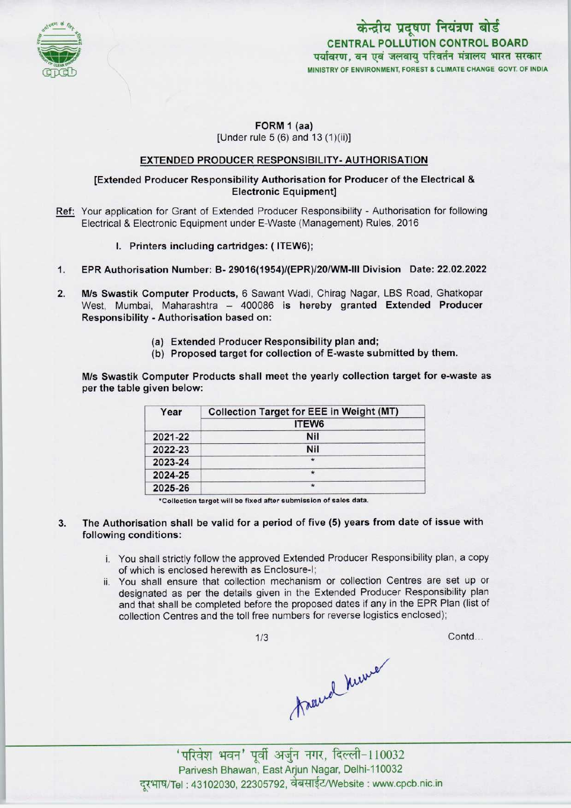

केन्द्रीय प्रदूषण नियंत्रण बोर्ड CENTRAL POLLUTION CONTROL BOARD<br>पर्यावरण, वन एवं जलवाय परिवर्तन मंत्रालय भारत सरकार MINISTRY OF ENVIRONMENT, FOREST & CLIMATE CHANGE GOVT. OF INDIA

# FORM 1 (aa) [Under rule 5 (6) and 13 (1)(ii)]

# EXTENDED PRODUCER RESPONSIBILITY-AUTHORISATION

# [Extended Producer Responsibility Authorisation for Producer of the Electrical & Electronic Equipment]

- Ref: Your application for Grant of Extended Producer Responsibility Authorisation for following Electrical & Electronic Equipment under E-Waste (Management) Rules, 2016
	- I. Printers including cartridges: (ITEW6);
- 1.EPR Authorisation Number: B- 29016(1954)/(EPR)/20/WM-lll Division Date: 22.02.2022
- 2. M/s Swastik Computer Products, 6 Sawant Wadi, Chirag Nagar, LBS Road, Ghatkopar West, Mumbai, Maharashtra - 400086 is hereby granted Extended Producer Responsibility - Authorisation based on:
	- (a) Extended Producer Responsibility plan and;
	- (b) Proposed target for collection of E-waste submitted by them.

M/s Swastik Computer Products shall meet the yearly collection target for e-waste as per the table given below:

| Year    | <b>Collection Target for EEE in Weight (MT)</b> |
|---------|-------------------------------------------------|
|         | ITEW <sub>6</sub>                               |
| 2021-22 | Nil                                             |
| 2022-23 | <b>Nil</b>                                      |
| 2023-24 | $\star$                                         |
| 2024-25 | *                                               |
| 2025-26 | $\star$                                         |

•Collection target will be fixed after submission of sales date.

### 3. The Authorisation shall be valid for a period of five (5) years from date of issue with following conditions:

- i. You shall strictly follow the approved Extended Producer Responsibility plan, a copy of which is enclosed herewith as Enclosure-I;
- ii. You shall ensure that collection mechanism or collection Centres are set up or designated as per the details given in the Extended Producer Responsibility plan and that shall be completed before the proposed dates if any in the EPR Plan (list of collection Centres and the toll free numbers for reverse logistics enclosed);

1/3

Contd...

man 110032

Parivesh Bhawan, EastArjun Nagar, Delhi-110032 दूरभाष/Tel: 43102030, 22305792, वेबसाईट/Website : www.cpcb.nic.in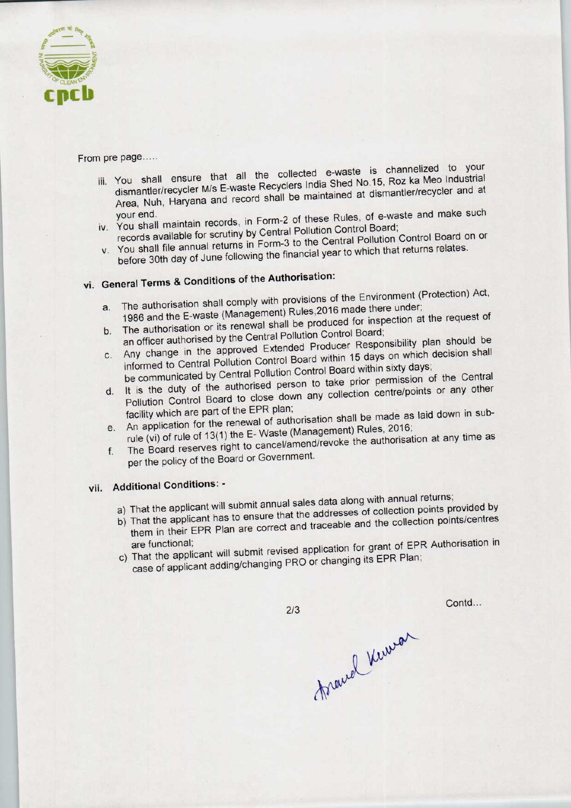

#### From pre page.....

- if the page......<br>in that all the collected e-waste is channelized to your You shall ensure that all the collected e-waste is charmon been industrial dismantler/recycler M/s E-waste Recyclers India Shed No.15, Roz ka Meo Industrial<br>Area, Nuh, Haryana and record shall be maintained at dismantler/recycler and at your end.<br>your end.
- records available for scrutiny by Central Pollution Control Board; y. You shall file and available for scrutiny by Central Pollution Control Board on or records available for scrutiny by Central Pollution Control Control Board on or
- You shall file annual returns in Form-3 to the Gential Yearto which that returns relates

# vi. General Terms & Conditions of the Authorisation:

- a.The authorisation shall comply with provisions of the Environment (Protection) Act, a. The authorisation shall comply with provisions of the Environment (1998)<br>1986 and the E-waste (Management) Rules, 2016 made there under;<br>the request of
- b. The authorisation or its renewal shall be produced for inspection at the request of an officer authorised by the Central Pollution Control Board; b. The authorisation or its renewal shall be produced for inspection at the requirement of the approved Extended Producer Responsibility plan should be
- Any change in the approved Extended Producer Responsibility plan enter Any change in the approved Extended Product Responsibility plan enter
- informed to Central Pollution Control Board within 15 days on the communicated by Central Pollution Control Board within sixty days;<br>be communicated by Central Pollution Control Board within sixty days; d. It is the duty of the authorised person to take prior permission of the Central<br>Pollution Control Board to close down any collection centre/points or any other
- facility which are part of the EPR plan; e. An application for the renewal of authorisation shall be made as laid down in sub-
- e. An application for the renewal of authorisation shall be made as laid down in<br>rule (vi) of rule of 13(1) the E-Waste (Management) Rules, 2016;<br>rule (vi) of rule of 13(1) the E-Waste (Management) Rules, 2016; The Board reserves right to cancel/amend/revoke the authorisation at any time as per the policy of the Board or Government.

# vii. Additional Conditions: -

- a) That the applicant will submit annual sales data along with annual returns;
- a) That the applicant will submit annual sales data along with armual retains, That the applicant has to ensure that the addresses or collection points centres
- them in their EPR Plan are correct and traceable and the collection points/centres<br>are functional;<br>c) That the applicant will submit revised application for grant of EPR Authorisation in
- case of applicant adding/changing PRO or changing its EPR Plan;

 $2/3$ 

Contd...

forand Knowan